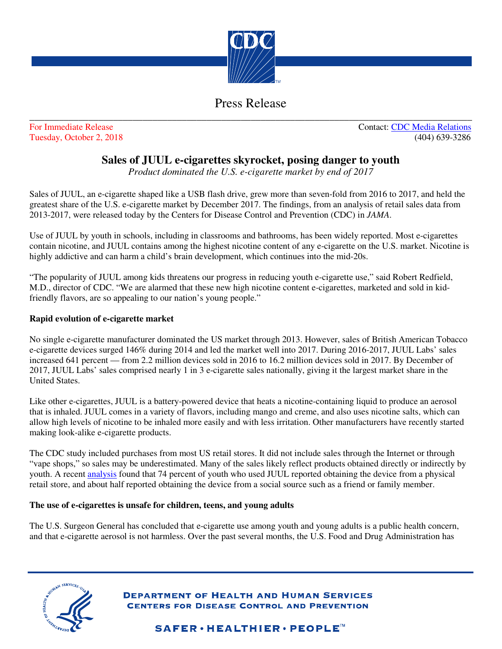

## Press Release \_\_\_\_\_\_\_\_\_\_\_\_\_\_\_\_\_\_\_\_\_\_\_\_\_\_\_\_\_\_\_\_\_\_\_\_\_\_\_\_\_\_\_\_\_\_\_\_\_\_\_\_\_\_\_\_\_\_\_\_\_\_\_\_\_\_\_\_\_\_\_\_\_\_\_\_\_\_\_\_\_\_\_\_\_\_\_\_\_\_

For Immediate Release Contact: CDC Media Relations Tuesday, October 2, 2018 (404) 639-3286

## **Sales of JUUL e-cigarettes skyrocket, posing danger to youth**

*Product dominated the U.S. e-cigarette market by end of 2017* 

Sales of JUUL, an e-cigarette shaped like a USB flash drive, grew more than seven-fold from 2016 to 2017, and held the greatest share of the U.S. e-cigarette market by December 2017. The findings, from an analysis of retail sales data from 2013-2017, were released today by the Centers for Disease Control and Prevention (CDC) in *JAMA*.

Use of JUUL by youth in schools, including in classrooms and bathrooms, has been widely reported. Most e-cigarettes contain nicotine, and JUUL contains among the highest nicotine content of any e-cigarette on the U.S. market. Nicotine is highly addictive and can harm a child's brain development, which continues into the mid-20s.

"The popularity of JUUL among kids threatens our progress in reducing youth e-cigarette use," said Robert Redfield, M.D., director of CDC. "We are alarmed that these new high nicotine content e-cigarettes, marketed and sold in kidfriendly flavors, are so appealing to our nation's young people."

## **Rapid evolution of e-cigarette market**

No single e-cigarette manufacturer dominated the US market through 2013. However, sales of British American Tobacco e-cigarette devices surged 146% during 2014 and led the market well into 2017. During 2016-2017, JUUL Labs' sales increased 641 percent — from 2.2 million devices sold in 2016 to 16.2 million devices sold in 2017. By December of 2017, JUUL Labs' sales comprised nearly 1 in 3 e-cigarette sales nationally, giving it the largest market share in the United States.

Like other e-cigarettes, JUUL is a battery-powered device that heats a nicotine-containing liquid to produce an aerosol that is inhaled. JUUL comes in a variety of flavors, including mango and creme, and also uses nicotine salts, which can allow high levels of nicotine to be inhaled more easily and with less irritation. Other manufacturers have recently started making look-alike e-cigarette products.

The CDC study included purchases from most US retail stores. It did not include sales through the Internet or through "vape shops," so sales may be underestimated. Many of the sales likely reflect products obtained directly or indirectly by youth. A recent analysis found that 74 percent of youth who used JUUL reported obtaining the device from a physical retail store, and about half reported obtaining the device from a social source such as a friend or family member.

## **The use of e-cigarettes is unsafe for children, teens, and young adults**

The U.S. Surgeon General has concluded that e-cigarette use among youth and young adults is a public health concern, and that e-cigarette aerosol is not harmless. Over the past several months, the U.S. Food and Drug Administration has



**DEPARTMENT OF HEALTH AND HUMAN SERVICES CENTERS FOR DISEASE CONTROL AND PREVENTION** 

 $\mathbf{SAFER} \cdot \mathbf{HEALTHIER} \cdot \mathbf{PEOPLE}^{\mathbb{M}}$